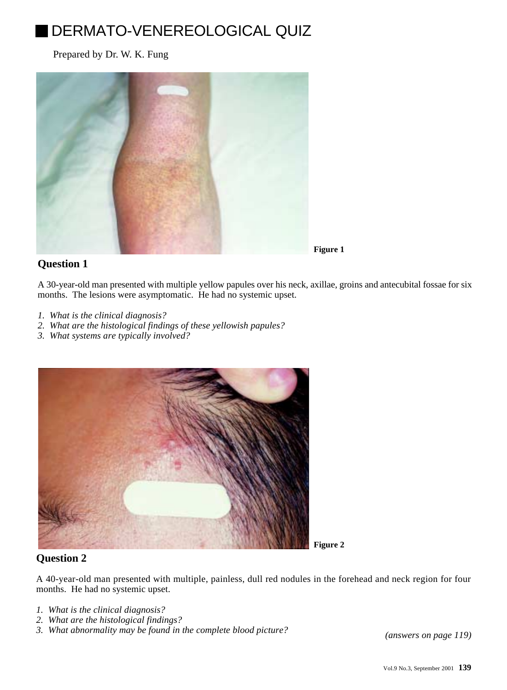# DERMATO-VENEREOLOGICAL QUIZ

Prepared by Dr. W. K. Fung



## **Question 1**

A 30-year-old man presented with multiple yellow papules over his neck, axillae, groins and antecubital fossae for six months. The lesions were asymptomatic. He had no systemic upset.

- *1. What is the clinical diagnosis?*
- *2. What are the histological findings of these yellowish papules?*
- *3. What systems are typically involved?*



## **Question 2**

A 40-year-old man presented with multiple, painless, dull red nodules in the forehead and neck region for four months. He had no systemic upset.

- *1. What is the clinical diagnosis?*
- *2. What are the histological findings?*
- *3. What abnormality may be found in the complete blood picture? [\(answers on page 119\)](200109-11a.pdf)*